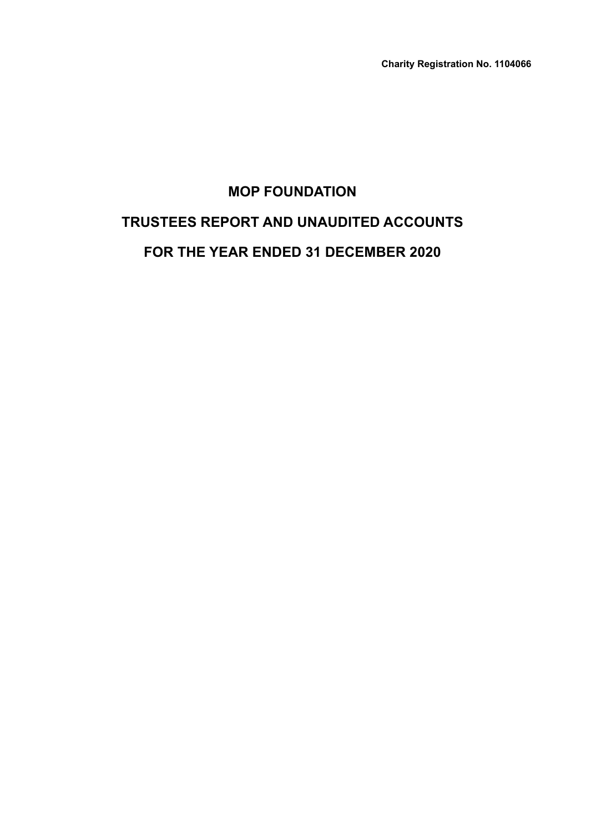# **MOP FOUNDATION TRUSTEES REPORT AND UNAUDITED ACCOUNTS FOR THE YEAR ENDED 31 DECEMBER 2020**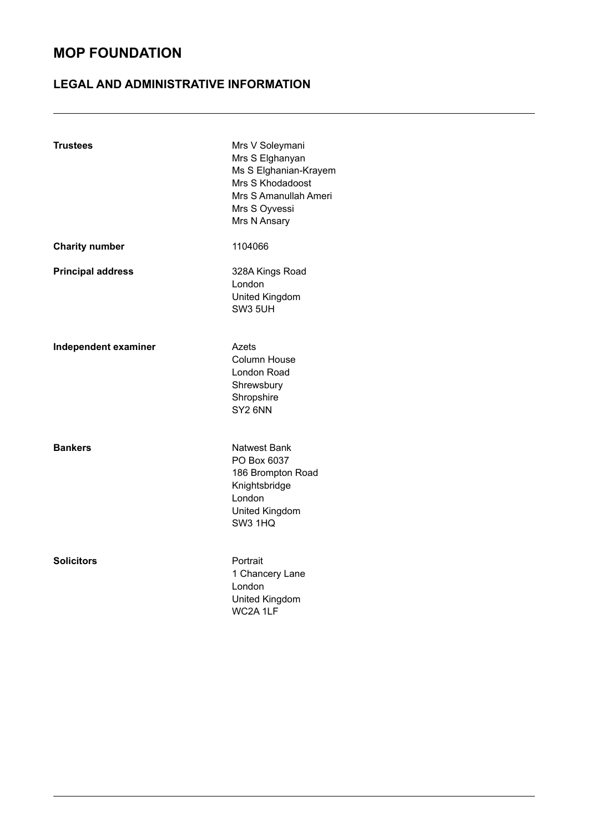### **LEGAL AND ADMINISTRATIVE INFORMATION**

| <b>Trustees</b>          | Mrs V Soleymani<br>Mrs S Elghanyan<br>Ms S Elghanian-Krayem<br>Mrs S Khodadoost<br>Mrs S Amanullah Ameri<br>Mrs S Oyvessi<br>Mrs N Ansary |
|--------------------------|-------------------------------------------------------------------------------------------------------------------------------------------|
| <b>Charity number</b>    | 1104066                                                                                                                                   |
| <b>Principal address</b> | 328A Kings Road<br>London<br>United Kingdom<br><b>SW3 5UH</b>                                                                             |
| Independent examiner     | Azets<br><b>Column House</b><br>London Road<br>Shrewsbury<br>Shropshire<br>SY <sub>2</sub> 6NN                                            |
| <b>Bankers</b>           | Natwest Bank<br>PO Box 6037<br>186 Brompton Road<br>Knightsbridge<br>London<br>United Kingdom<br><b>SW3 1HQ</b>                           |
| <b>Solicitors</b>        | Portrait<br>1 Chancery Lane<br>London<br>United Kingdom<br>WC2A 1LF                                                                       |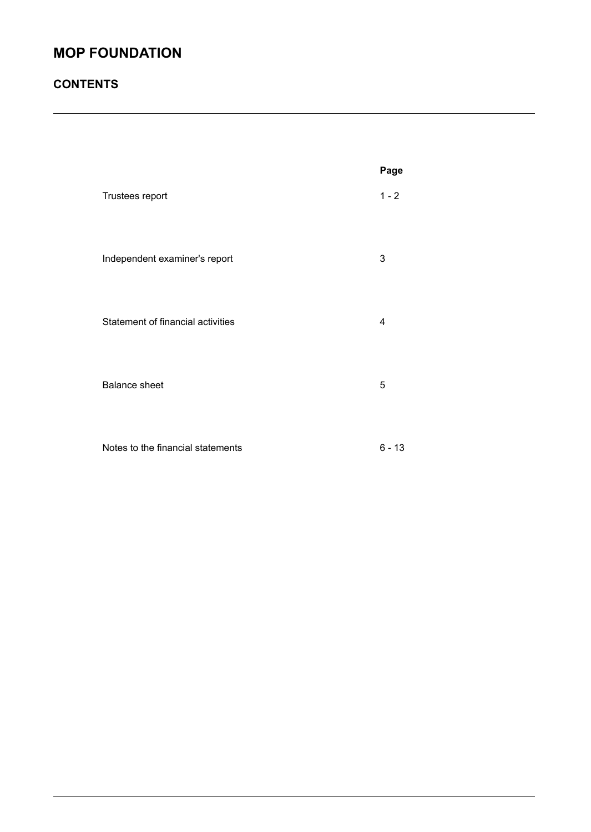### **CONTENTS**

|                                   | Page     |
|-----------------------------------|----------|
| Trustees report                   | $1 - 2$  |
| Independent examiner's report     | 3        |
| Statement of financial activities | 4        |
| <b>Balance sheet</b>              | 5        |
| Notes to the financial statements | $6 - 13$ |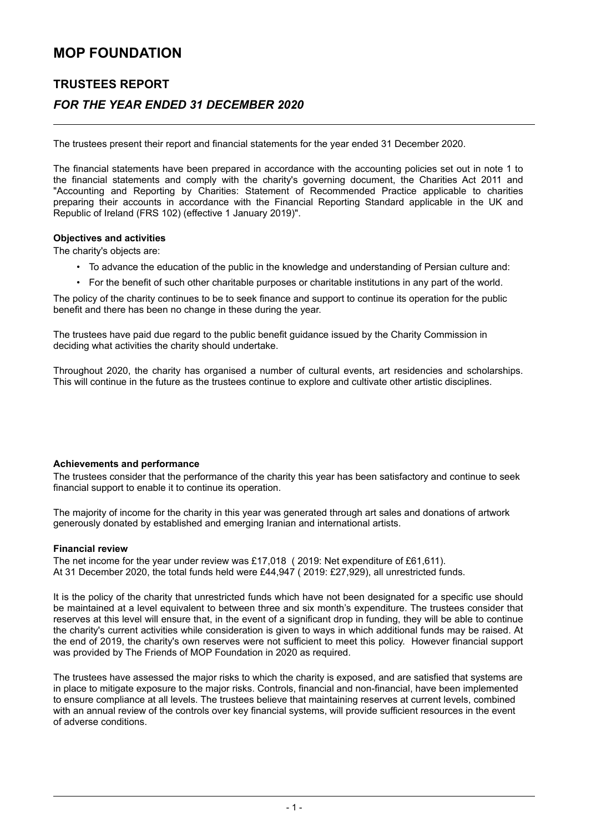### **TRUSTEES REPORT** *FOR THE YEAR ENDED 31 DECEMBER 2020*

The trustees present their report and financial statements for the year ended 31 December 2020.

The financial statements have been prepared in accordance with the accounting policies set out in note 1 to the financial statements and comply with the charity's governing document, the Charities Act 2011 and "Accounting and Reporting by Charities: Statement of Recommended Practice applicable to charities preparing their accounts in accordance with the Financial Reporting Standard applicable in the UK and Republic of Ireland (FRS 102) (effective 1 January 2019)".

#### **Objectives and activities**

The charity's objects are:

- To advance the education of the public in the knowledge and understanding of Persian culture and:
- For the benefit of such other charitable purposes or charitable institutions in any part of the world.

The policy of the charity continues to be to seek finance and support to continue its operation for the public benefit and there has been no change in these during the year.

The trustees have paid due regard to the public benefit guidance issued by the Charity Commission in deciding what activities the charity should undertake.

Throughout 2020, the charity has organised a number of cultural events, art residencies and scholarships. This will continue in the future as the trustees continue to explore and cultivate other artistic disciplines.

#### **Achievements and performance**

The trustees consider that the performance of the charity this year has been satisfactory and continue to seek financial support to enable it to continue its operation.

The majority of income for the charity in this year was generated through art sales and donations of artwork generously donated by established and emerging Iranian and international artists.

#### **Financial review**

The net income for the year under review was £17,018 ( 2019: Net expenditure of £61,611). At 31 December 2020, the total funds held were £44,947 ( 2019: £27,929), all unrestricted funds.

It is the policy of the charity that unrestricted funds which have not been designated for a specific use should be maintained at a level equivalent to between three and six month's expenditure. The trustees consider that reserves at this level will ensure that, in the event of a significant drop in funding, they will be able to continue the charity's current activities while consideration is given to ways in which additional funds may be raised. At the end of 2019, the charity's own reserves were not sufficient to meet this policy. However financial support was provided by The Friends of MOP Foundation in 2020 as required.

The trustees have assessed the major risks to which the charity is exposed, and are satisfied that systems are in place to mitigate exposure to the major risks. Controls, financial and non-financial, have been implemented to ensure compliance at all levels. The trustees believe that maintaining reserves at current levels, combined with an annual review of the controls over key financial systems, will provide sufficient resources in the event of adverse conditions.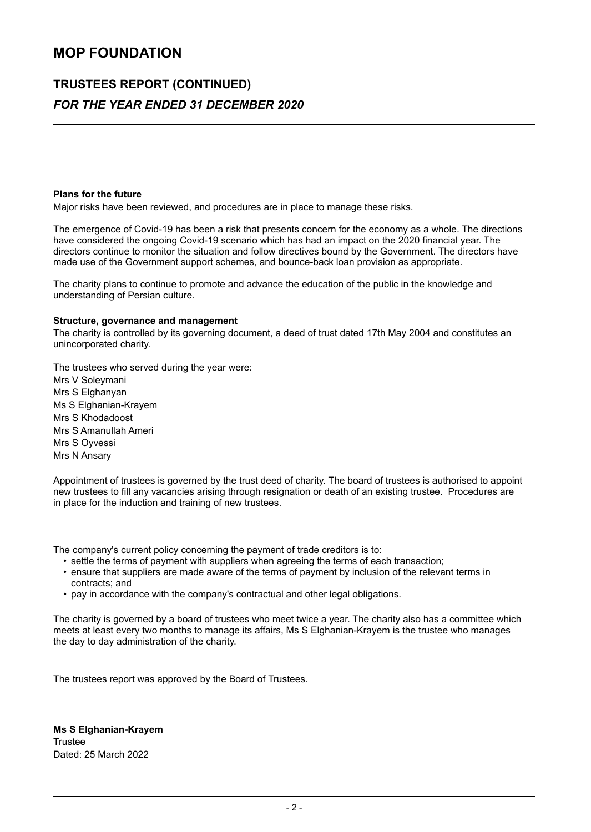## **TRUSTEES REPORT (CONTINUED)** *FOR THE YEAR ENDED 31 DECEMBER 2020*

#### **Plans for the future**

Major risks have been reviewed, and procedures are in place to manage these risks.

The emergence of Covid-19 has been a risk that presents concern for the economy as a whole. The directions have considered the ongoing Covid-19 scenario which has had an impact on the 2020 financial year. The directors continue to monitor the situation and follow directives bound by the Government. The directors have made use of the Government support schemes, and bounce-back loan provision as appropriate.

The charity plans to continue to promote and advance the education of the public in the knowledge and understanding of Persian culture.

#### **Structure, governance and management**

The charity is controlled by its governing document, a deed of trust dated 17th May 2004 and constitutes an unincorporated charity.

The trustees who served during the year were:

Mrs V Soleymani Mrs S Elghanyan Ms S Elghanian-Krayem Mrs S Khodadoost Mrs S Amanullah Ameri Mrs S Oyvessi Mrs N Ansary

Appointment of trustees is governed by the trust deed of charity. The board of trustees is authorised to appoint new trustees to fill any vacancies arising through resignation or death of an existing trustee. Procedures are in place for the induction and training of new trustees.

The company's current policy concerning the payment of trade creditors is to:

- settle the terms of payment with suppliers when agreeing the terms of each transaction;
- ensure that suppliers are made aware of the terms of payment by inclusion of the relevant terms in contracts; and
- pay in accordance with the company's contractual and other legal obligations.

The charity is governed by a board of trustees who meet twice a year. The charity also has a committee which meets at least every two months to manage its affairs, Ms S Elghanian-Krayem is the trustee who manages the day to day administration of the charity.

The trustees report was approved by the Board of Trustees.

**Ms S Elghanian-Krayem Trustee** Dated: 25 March 2022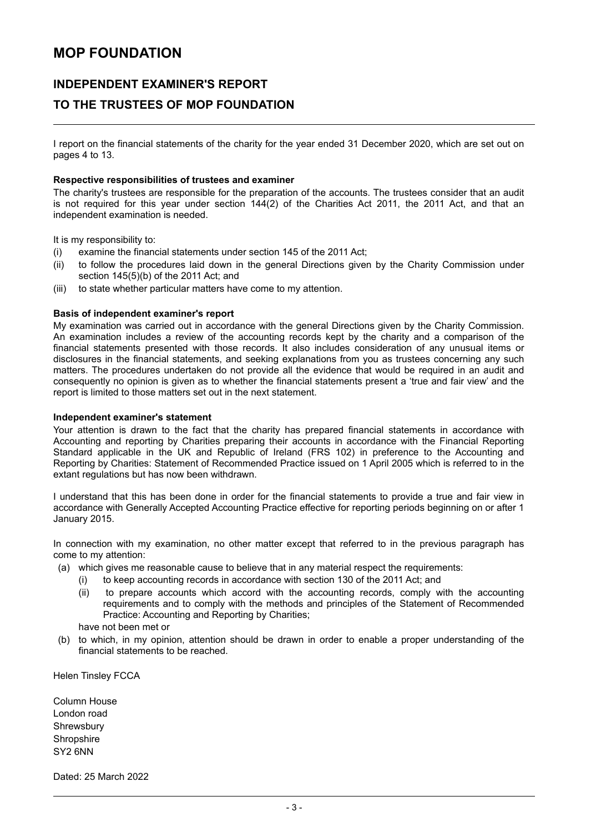### **INDEPENDENT EXAMINER'S REPORT**

### **TO THE TRUSTEES OF MOP FOUNDATION**

I report on the financial statements of the charity for the year ended 31 December 2020, which are set out on pages 4 to 13.

#### **Respective responsibilities of trustees and examiner**

The charity's trustees are responsible for the preparation of the accounts. The trustees consider that an audit is not required for this year under section 144(2) of the Charities Act 2011, the 2011 Act, and that an independent examination is needed.

It is my responsibility to:

- (i) examine the financial statements under section 145 of the 2011 Act;
- (ii) to follow the procedures laid down in the general Directions given by the Charity Commission under section 145(5)(b) of the 2011 Act; and
- (iii) to state whether particular matters have come to my attention.

#### **Basis of independent examiner's report**

My examination was carried out in accordance with the general Directions given by the Charity Commission. An examination includes a review of the accounting records kept by the charity and a comparison of the financial statements presented with those records. It also includes consideration of any unusual items or disclosures in the financial statements, and seeking explanations from you as trustees concerning any such matters. The procedures undertaken do not provide all the evidence that would be required in an audit and consequently no opinion is given as to whether the financial statements present a 'true and fair view' and the report is limited to those matters set out in the next statement.

#### **Independent examiner's statement**

Your attention is drawn to the fact that the charity has prepared financial statements in accordance with Accounting and reporting by Charities preparing their accounts in accordance with the Financial Reporting Standard applicable in the UK and Republic of Ireland (FRS 102) in preference to the Accounting and Reporting by Charities: Statement of Recommended Practice issued on 1 April 2005 which is referred to in the extant regulations but has now been withdrawn.

I understand that this has been done in order for the financial statements to provide a true and fair view in accordance with Generally Accepted Accounting Practice effective for reporting periods beginning on or after 1 January 2015.

In connection with my examination, no other matter except that referred to in the previous paragraph has come to my attention:

- (a) which gives me reasonable cause to believe that in any material respect the requirements:
	- (i) to keep accounting records in accordance with section 130 of the 2011 Act; and
	- (ii) to prepare accounts which accord with the accounting records, comply with the accounting requirements and to comply with the methods and principles of the Statement of Recommended Practice: Accounting and Reporting by Charities;

have not been met or

(b) to which, in my opinion, attention should be drawn in order to enable a proper understanding of the financial statements to be reached.

Helen Tinsley FCCA

Column House London road **Shrewsbury Shropshire** SY2 6NN

Dated: 25 March 2022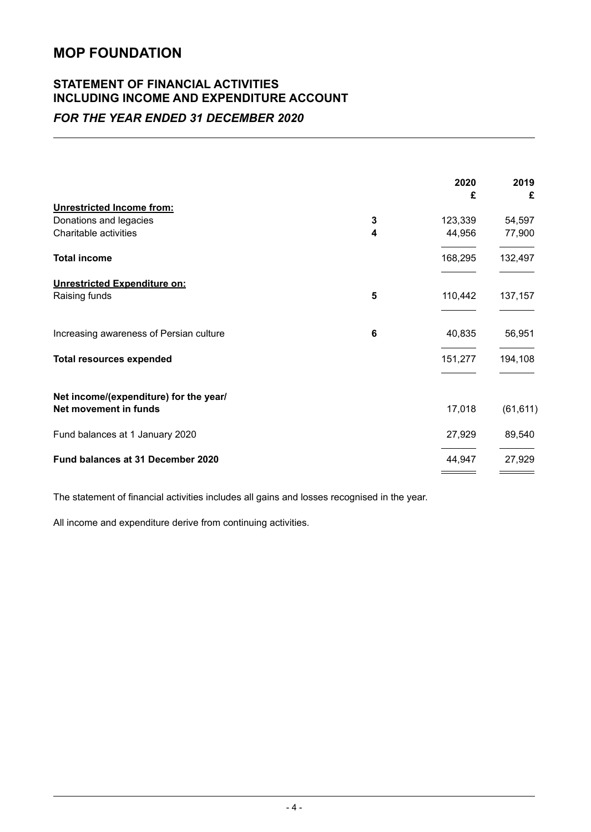### **STATEMENT OF FINANCIAL ACTIVITIES INCLUDING INCOME AND EXPENDITURE ACCOUNT** *FOR THE YEAR ENDED 31 DECEMBER 2020*

|   | 2020    | 2019<br>£   |
|---|---------|-------------|
|   |         |             |
| 3 | 123,339 | 54,597      |
| 4 | 44,956  | 77,900      |
|   | 168,295 | 132,497     |
|   |         |             |
| 5 | 110,442 | 137,157     |
| 6 | 40,835  | 56,951      |
|   | 151,277 | 194,108     |
|   |         |             |
|   |         | (61, 611)   |
|   | 27,929  | 89,540      |
|   | 44,947  | 27,929      |
|   |         | £<br>17,018 |

The statement of financial activities includes all gains and losses recognised in the year.

All income and expenditure derive from continuing activities.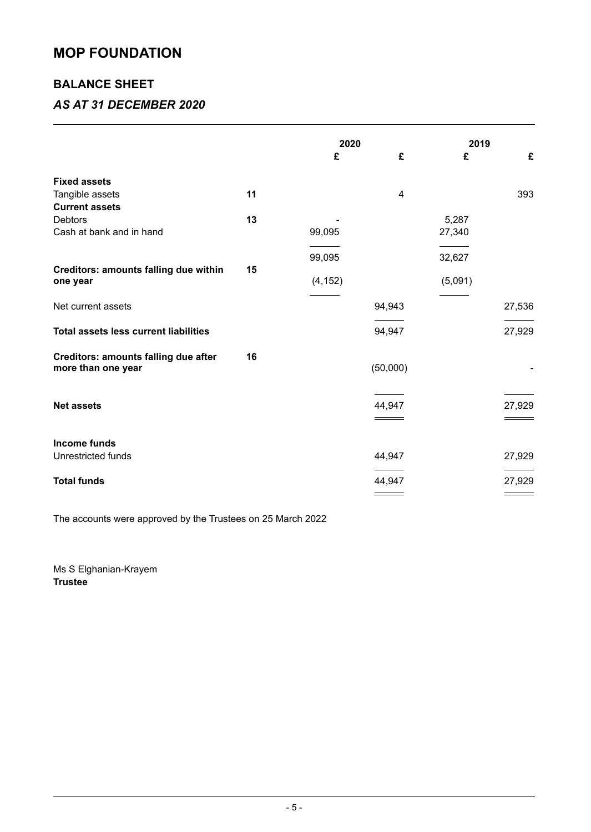### **BALANCE SHEET**

### *AS AT 31 DECEMBER 2020*

|                                                                   |    | 2020     |          | 2019    |        |
|-------------------------------------------------------------------|----|----------|----------|---------|--------|
|                                                                   |    | £        | £        | £       | £      |
| <b>Fixed assets</b>                                               |    |          |          |         |        |
| Tangible assets                                                   | 11 |          | 4        |         | 393    |
| <b>Current assets</b>                                             |    |          |          |         |        |
| <b>Debtors</b>                                                    | 13 |          |          | 5,287   |        |
| Cash at bank and in hand                                          |    | 99,095   |          | 27,340  |        |
|                                                                   |    |          |          |         |        |
|                                                                   |    | 99,095   |          | 32,627  |        |
| Creditors: amounts falling due within                             | 15 |          |          |         |        |
| one year                                                          |    | (4, 152) |          | (5,091) |        |
| Net current assets                                                |    |          | 94,943   |         | 27,536 |
| <b>Total assets less current liabilities</b>                      |    |          | 94,947   |         | 27,929 |
| <b>Creditors: amounts falling due after</b><br>more than one year | 16 |          | (50,000) |         |        |
| <b>Net assets</b>                                                 |    |          | 44,947   |         | 27,929 |
| <b>Income funds</b><br>Unrestricted funds                         |    |          | 44,947   |         | 27,929 |
|                                                                   |    |          |          |         |        |
| <b>Total funds</b>                                                |    |          | 44,947   |         | 27,929 |
|                                                                   |    |          |          |         |        |

The accounts were approved by the Trustees on 25 March 2022

Ms S Elghanian-Krayem **Trustee**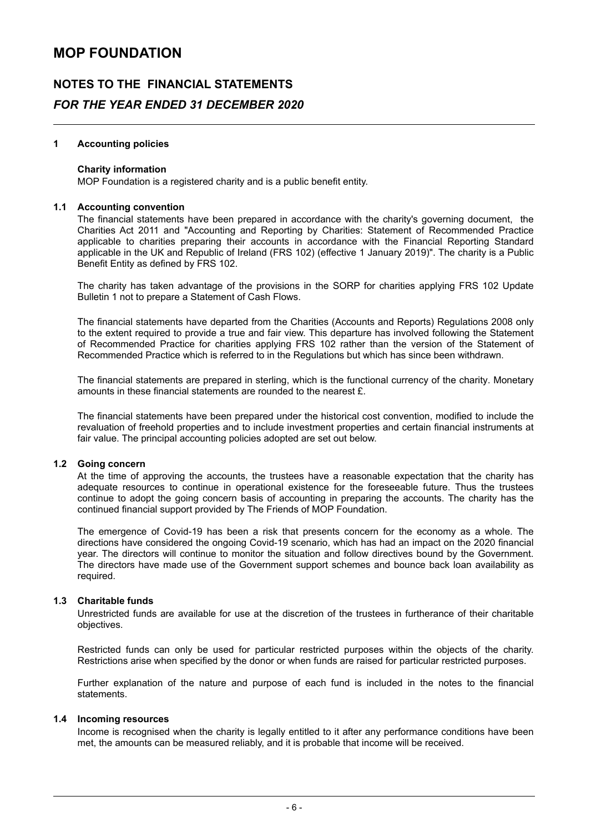### **NOTES TO THE FINANCIAL STATEMENTS** *FOR THE YEAR ENDED 31 DECEMBER 2020*

#### **1 Accounting policies**

#### **Charity information**

MOP Foundation is a registered charity and is a public benefit entity.

#### **1.1 Accounting convention**

The financial statements have been prepared in accordance with the charity's governing document, the Charities Act 2011 and "Accounting and Reporting by Charities: Statement of Recommended Practice applicable to charities preparing their accounts in accordance with the Financial Reporting Standard applicable in the UK and Republic of Ireland (FRS 102) (effective 1 January 2019)". The charity is a Public Benefit Entity as defined by FRS 102.

The charity has taken advantage of the provisions in the SORP for charities applying FRS 102 Update Bulletin 1 not to prepare a Statement of Cash Flows.

The financial statements have departed from the Charities (Accounts and Reports) Regulations 2008 only to the extent required to provide a true and fair view. This departure has involved following the Statement of Recommended Practice for charities applying FRS 102 rather than the version of the Statement of Recommended Practice which is referred to in the Regulations but which has since been withdrawn.

The financial statements are prepared in sterling, which is the functional currency of the charity. Monetary amounts in these financial statements are rounded to the nearest £.

The financial statements have been prepared under the historical cost convention, modified to include the revaluation of freehold properties and to include investment properties and certain financial instruments at fair value. The principal accounting policies adopted are set out below.

#### **1.2 Going concern**

At the time of approving the accounts, the trustees have a reasonable expectation that the charity has adequate resources to continue in operational existence for the foreseeable future. Thus the trustees continue to adopt the going concern basis of accounting in preparing the accounts. The charity has the continued financial support provided by The Friends of MOP Foundation.

The emergence of Covid-19 has been a risk that presents concern for the economy as a whole. The directions have considered the ongoing Covid-19 scenario, which has had an impact on the 2020 financial year. The directors will continue to monitor the situation and follow directives bound by the Government. The directors have made use of the Government support schemes and bounce back loan availability as required.

#### **1.3 Charitable funds**

Unrestricted funds are available for use at the discretion of the trustees in furtherance of their charitable objectives.

Restricted funds can only be used for particular restricted purposes within the objects of the charity. Restrictions arise when specified by the donor or when funds are raised for particular restricted purposes.

Further explanation of the nature and purpose of each fund is included in the notes to the financial statements.

#### **1.4 Incoming resources**

Income is recognised when the charity is legally entitled to it after any performance conditions have been met, the amounts can be measured reliably, and it is probable that income will be received.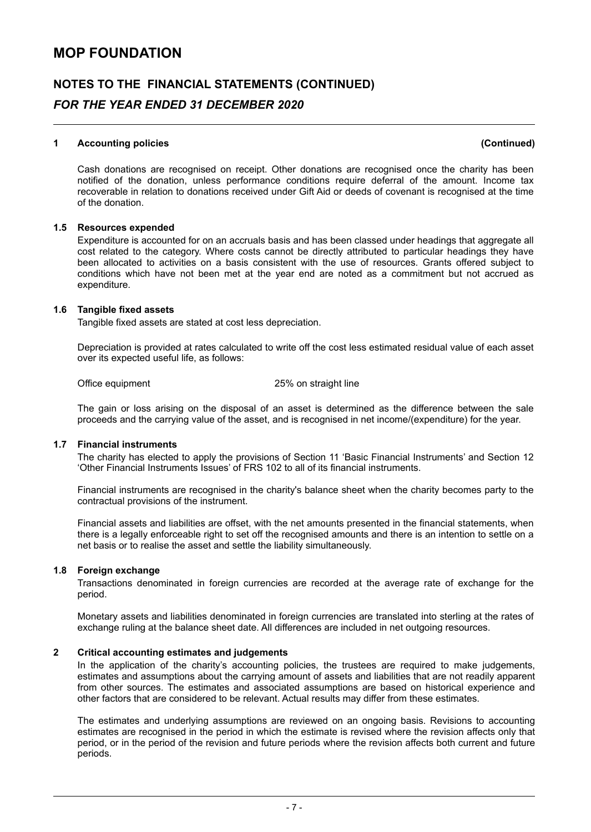### **NOTES TO THE FINANCIAL STATEMENTS (CONTINUED)** *FOR THE YEAR ENDED 31 DECEMBER 2020*

#### **1 Accounting policies (Continued)**

Cash donations are recognised on receipt. Other donations are recognised once the charity has been notified of the donation, unless performance conditions require deferral of the amount. Income tax recoverable in relation to donations received under Gift Aid or deeds of covenant is recognised at the time of the donation.

#### **1.5 Resources expended**

Expenditure is accounted for on an accruals basis and has been classed under headings that aggregate all cost related to the category. Where costs cannot be directly attributed to particular headings they have been allocated to activities on a basis consistent with the use of resources. Grants offered subject to conditions which have not been met at the year end are noted as a commitment but not accrued as expenditure.

#### **1.6 Tangible fixed assets**

Tangible fixed assets are stated at cost less depreciation.

Depreciation is provided at rates calculated to write off the cost less estimated residual value of each asset over its expected useful life, as follows:

Office equipment 25% on straight line

The gain or loss arising on the disposal of an asset is determined as the difference between the sale proceeds and the carrying value of the asset, and is recognised in net income/(expenditure) for the year.

#### **1.7 Financial instruments**

The charity has elected to apply the provisions of Section 11 'Basic Financial Instruments' and Section 12 'Other Financial Instruments Issues' of FRS 102 to all of its financial instruments.

Financial instruments are recognised in the charity's balance sheet when the charity becomes party to the contractual provisions of the instrument.

Financial assets and liabilities are offset, with the net amounts presented in the financial statements, when there is a legally enforceable right to set off the recognised amounts and there is an intention to settle on a net basis or to realise the asset and settle the liability simultaneously.

#### **1.8 Foreign exchange**

Transactions denominated in foreign currencies are recorded at the average rate of exchange for the period.

Monetary assets and liabilities denominated in foreign currencies are translated into sterling at the rates of exchange ruling at the balance sheet date. All differences are included in net outgoing resources.

#### **2 Critical accounting estimates and judgements**

In the application of the charity's accounting policies, the trustees are required to make judgements, estimates and assumptions about the carrying amount of assets and liabilities that are not readily apparent from other sources. The estimates and associated assumptions are based on historical experience and other factors that are considered to be relevant. Actual results may differ from these estimates.

The estimates and underlying assumptions are reviewed on an ongoing basis. Revisions to accounting estimates are recognised in the period in which the estimate is revised where the revision affects only that period, or in the period of the revision and future periods where the revision affects both current and future periods.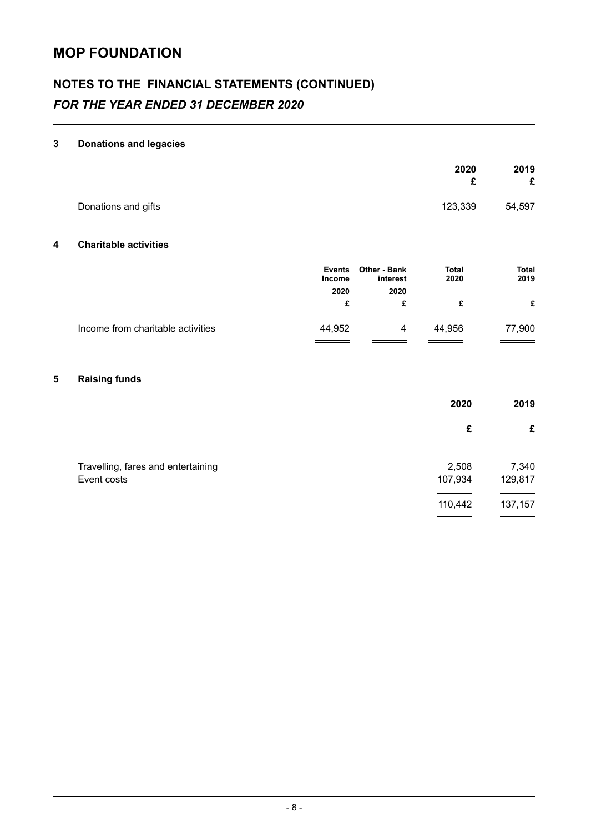# **NOTES TO THE FINANCIAL STATEMENTS (CONTINUED)** *FOR THE YEAR ENDED 31 DECEMBER 2020*

### **3 Donations and legacies**

|   |                                   |                                |                                 | 2020<br>£            | 2019<br>£            |
|---|-----------------------------------|--------------------------------|---------------------------------|----------------------|----------------------|
|   | Donations and gifts               |                                |                                 | 123,339              | 54,597               |
| 4 | <b>Charitable activities</b>      |                                |                                 |                      |                      |
|   |                                   | <b>Events</b><br><b>Income</b> | <b>Other - Bank</b><br>interest | <b>Total</b><br>2020 | <b>Total</b><br>2019 |
|   |                                   | 2020                           | 2020                            |                      |                      |
|   |                                   | £                              | £                               | £                    | £                    |
|   | Income from charitable activities | 44,952                         | 4                               | 44,956               | 77,900               |
|   |                                   |                                |                                 |                      |                      |

### **5 Raising funds**

|                                    | 2020    | 2019    |
|------------------------------------|---------|---------|
|                                    | £       | £       |
| Travelling, fares and entertaining | 2,508   | 7,340   |
| Event costs                        | 107,934 | 129,817 |
|                                    | 110,442 | 137,157 |
|                                    |         |         |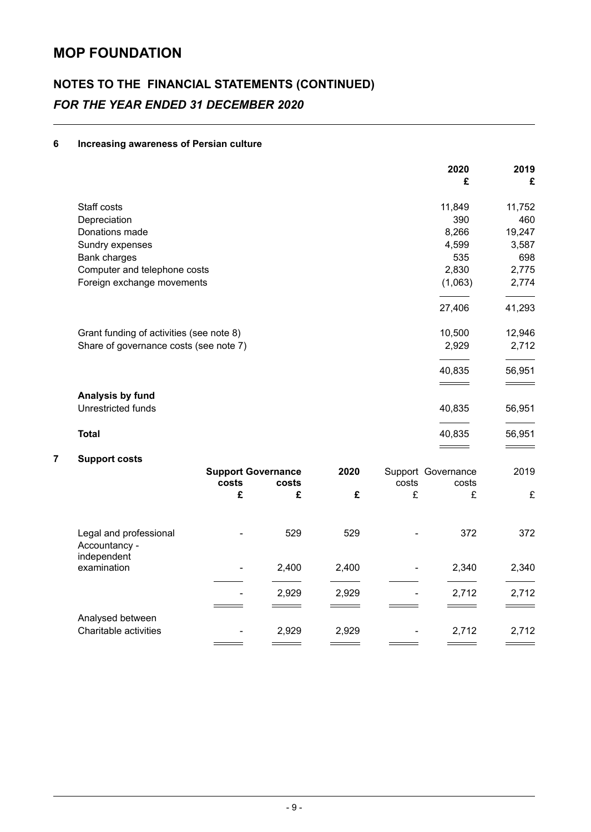# **NOTES TO THE FINANCIAL STATEMENTS (CONTINUED)** *FOR THE YEAR ENDED 31 DECEMBER 2020*

### **6 Increasing awareness of Persian culture**

|                        |                    |                                                                                                                                                           |                                    |   | 2020<br>£ | 2019<br>£                             |
|------------------------|--------------------|-----------------------------------------------------------------------------------------------------------------------------------------------------------|------------------------------------|---|-----------|---------------------------------------|
| Staff costs            |                    |                                                                                                                                                           |                                    |   | 11,849    | 11,752                                |
| Depreciation           |                    |                                                                                                                                                           |                                    |   | 390       | 460                                   |
| Donations made         |                    |                                                                                                                                                           |                                    |   | 8,266     | 19,247                                |
| Sundry expenses        |                    |                                                                                                                                                           |                                    |   | 4,599     | 3,587                                 |
| Bank charges           |                    |                                                                                                                                                           |                                    |   | 535       | 698                                   |
|                        |                    |                                                                                                                                                           |                                    |   | 2,830     | 2,775                                 |
|                        |                    |                                                                                                                                                           |                                    |   | (1,063)   | 2,774                                 |
|                        |                    |                                                                                                                                                           |                                    |   | 27,406    | 41,293                                |
|                        |                    |                                                                                                                                                           |                                    |   | 10,500    | 12,946                                |
|                        |                    |                                                                                                                                                           |                                    |   | 2,929     | 2,712                                 |
|                        |                    |                                                                                                                                                           |                                    |   | 40,835    | 56,951                                |
| Analysis by fund       |                    |                                                                                                                                                           |                                    |   |           |                                       |
|                        |                    |                                                                                                                                                           |                                    |   |           | 56,951                                |
| <b>Total</b>           |                    |                                                                                                                                                           |                                    |   | 40,835    | 56,951                                |
| <b>Support costs</b>   |                    |                                                                                                                                                           |                                    |   |           |                                       |
|                        |                    |                                                                                                                                                           | 2020                               |   |           | 2019                                  |
|                        | £                  | £                                                                                                                                                         | £                                  | £ | £         | £                                     |
| Legal and professional |                    | 529                                                                                                                                                       | 529                                |   | 372       | 372                                   |
|                        | Unrestricted funds | Computer and telephone costs<br>Foreign exchange movements<br>Grant funding of activities (see note 8)<br>Share of governance costs (see note 7)<br>costs | <b>Support Governance</b><br>costs |   | costs     | 40,835<br>Support Governance<br>costs |

| Luyur unu profosofonur<br>Accountancy -<br>independent |    | ັບ    | ◡▵◡   |   | <u>UIL</u> | ◡ ← ←             |
|--------------------------------------------------------|----|-------|-------|---|------------|-------------------|
| examination                                            | ۰. | 2,400 | 2,400 | ۰ | 2,340      | 2,340             |
|                                                        | ۰  | 2,929 | 2,929 | ۰ | 2,712      | 2,712<br>$\equiv$ |
| Analysed between<br>Charitable activities              | ۰  | 2,929 | 2,929 | ۰ | 2.712      | 2,712             |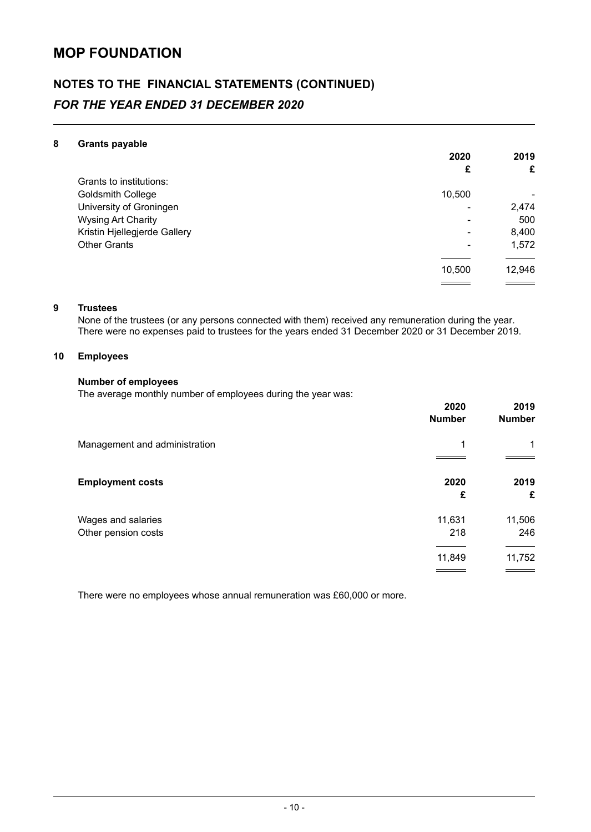# **NOTES TO THE FINANCIAL STATEMENTS (CONTINUED)** *FOR THE YEAR ENDED 31 DECEMBER 2020*

#### **8 Grants payable**

|                              | 2020   | 2019   |
|------------------------------|--------|--------|
|                              | £      | £      |
| Grants to institutions:      |        |        |
| Goldsmith College            | 10,500 |        |
| University of Groningen      |        | 2,474  |
| <b>Wysing Art Charity</b>    |        | 500    |
| Kristin Hjellegjerde Gallery | -      | 8,400  |
| <b>Other Grants</b>          | -      | 1,572  |
|                              |        |        |
|                              | 10,500 | 12,946 |
|                              |        |        |

#### **9 Trustees**

None of the trustees (or any persons connected with them) received any remuneration during the year. There were no expenses paid to trustees for the years ended 31 December 2020 or 31 December 2019.

### **10 Employees**

#### **Number of employees**

The average monthly number of employees during the year was:

|                                           | 2020<br><b>Number</b> | 2019<br><b>Number</b> |
|-------------------------------------------|-----------------------|-----------------------|
| Management and administration             | 1                     | $\mathbf 1$           |
| <b>Employment costs</b>                   | 2020<br>£             | 2019<br>£             |
| Wages and salaries<br>Other pension costs | 11,631<br>218         | 11,506<br>246         |
|                                           | 11,849                | 11,752                |

There were no employees whose annual remuneration was £60,000 or more.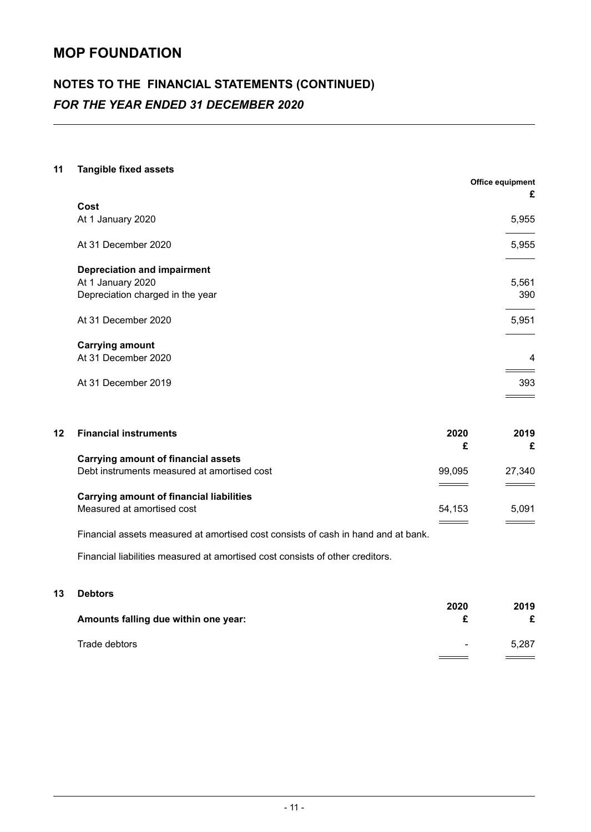# **NOTES TO THE FINANCIAL STATEMENTS (CONTINUED)** *FOR THE YEAR ENDED 31 DECEMBER 2020*

### **11 Tangible fixed assets**

|                                    | <b>Office equipment</b><br>£ |
|------------------------------------|------------------------------|
| Cost                               |                              |
| At 1 January 2020                  | 5,955                        |
| At 31 December 2020                | 5,955                        |
| <b>Depreciation and impairment</b> |                              |
| At 1 January 2020                  | 5,561                        |
| Depreciation charged in the year   | 390                          |
| At 31 December 2020                | 5,951                        |
| <b>Carrying amount</b>             |                              |
| At 31 December 2020                | $\overline{4}$               |
| At 31 December 2019                | 393                          |
|                                    |                              |

| 12 | <b>Financial instruments</b>                    | 2020   | 2019   |
|----|-------------------------------------------------|--------|--------|
|    |                                                 | £      | £      |
|    | <b>Carrying amount of financial assets</b>      |        |        |
|    | Debt instruments measured at amortised cost     | 99.095 | 27,340 |
|    |                                                 |        | $ -$   |
|    | <b>Carrying amount of financial liabilities</b> |        |        |
|    | Measured at amortised cost                      | 54.153 | 5,091  |
|    |                                                 |        |        |
|    |                                                 |        |        |

Financial assets measured at amortised cost consists of cash in hand and at bank.

Financial liabilities measured at amortised cost consists of other creditors.

### **13 Debtors**

| Amounts falling due within one year: | 2020   | 2019  |
|--------------------------------------|--------|-------|
| Trade debtors                        | $\sim$ | 5.287 |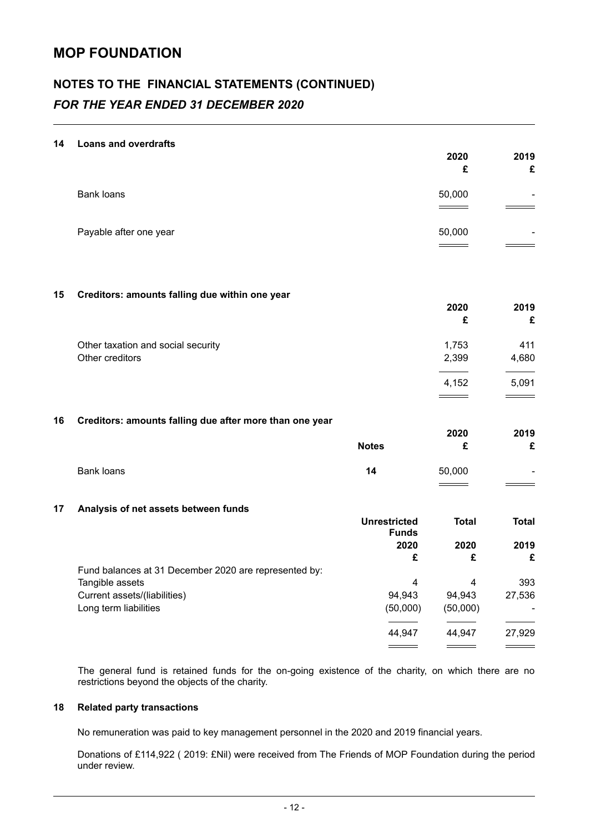# **NOTES TO THE FINANCIAL STATEMENTS (CONTINUED)** *FOR THE YEAR ENDED 31 DECEMBER 2020*

#### **14 Loans and overdrafts**

|    |                                                         |                      | 2020<br>£          | 2019<br>£        |
|----|---------------------------------------------------------|----------------------|--------------------|------------------|
|    | <b>Bank loans</b>                                       |                      | 50,000             |                  |
|    | Payable after one year                                  |                      | 50,000             |                  |
|    |                                                         |                      |                    |                  |
| 15 | Creditors: amounts falling due within one year          |                      | 2020<br>£          | 2019<br>£        |
|    | Other taxation and social security<br>Other creditors   |                      | 1,753<br>2,399     | 411<br>4,680     |
|    |                                                         |                      | 4,152              | 5,091            |
| 16 | Creditors: amounts falling due after more than one year |                      | 2020               | 2019             |
|    |                                                         | <b>Notes</b>         | £                  | £                |
|    | <b>Bank loans</b>                                       | 14                   | 50,000             |                  |
| 17 | Analysis of net assets between funds                    | <b>Unrestricted</b>  | <b>Total</b>       | <b>Total</b>     |
|    |                                                         | <b>Funds</b><br>2020 | 2020               | 2019             |
|    | Fund balances at 31 December 2020 are represented by:   | £                    | £                  | £                |
|    | Tangible assets                                         | 4                    | 4                  | 393              |
|    | Current assets/(liabilities)<br>Long term liabilities   | 94,943<br>(50,000)   | 94,943<br>(50,000) | 27,536<br>$\sim$ |
|    |                                                         | 44,947               | 44,947             | 27,929           |
|    |                                                         | ____                 |                    |                  |

The general fund is retained funds for the on-going existence of the charity, on which there are no restrictions beyond the objects of the charity.

#### **18 Related party transactions**

No remuneration was paid to key management personnel in the 2020 and 2019 financial years.

Donations of £114,922 ( 2019: £Nil) were received from The Friends of MOP Foundation during the period under review.